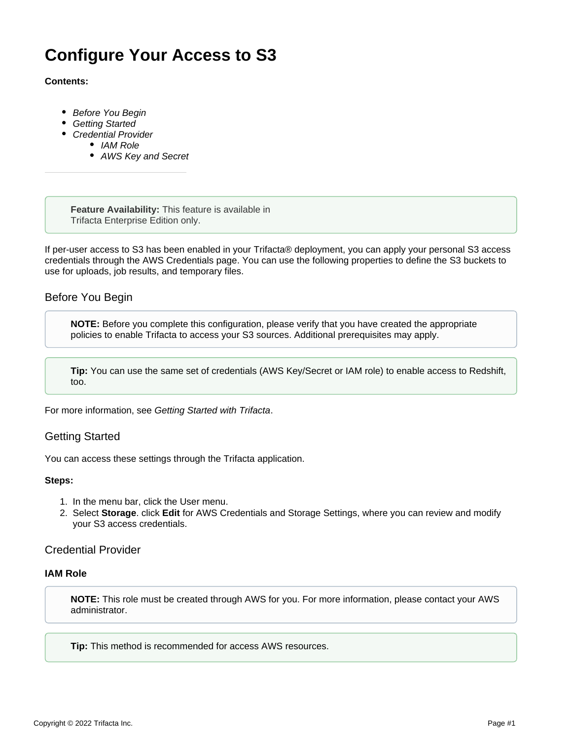# **Configure Your Access to S3**

### **Contents:**

- [Before You Begin](#page-0-0)
- [Getting Started](#page-0-1)
- [Credential Provider](#page-0-2)
	- [IAM Role](#page-0-3)
	- [AWS Key and Secret](#page-1-0)

**Feature Availability:** This feature is available in Trifacta Enterprise Edition only.

If per-user access to S3 has been enabled in your Trifacta® deployment, you can apply your personal S3 access credentials through the AWS Credentials page. You can use the following properties to define the S3 buckets to use for uploads, job results, and temporary files.

# <span id="page-0-0"></span>Before You Begin

**NOTE:** Before you complete this configuration, please verify that you have created the appropriate policies to enable Trifacta to access your S3 sources. Additional prerequisites may apply.

**Tip:** You can use the same set of credentials (AWS Key/Secret or IAM role) to enable access to Redshift, too.

For more information, see [Getting Started with Trifacta](https://docs.trifacta.com/display/AWS/Getting+Started+with+Trifacta).

# <span id="page-0-1"></span>Getting Started

You can access these settings through the Trifacta application.

#### **Steps:**

- 1. In the menu bar, click the User menu.
- 2. Select **Storage**. click **Edit** for AWS Credentials and Storage Settings, where you can review and modify your S3 access credentials.

## <span id="page-0-2"></span>Credential Provider

#### <span id="page-0-3"></span>**IAM Role**

**NOTE:** This role must be created through AWS for you. For more information, please contact your AWS administrator.

**Tip:** This method is recommended for access AWS resources.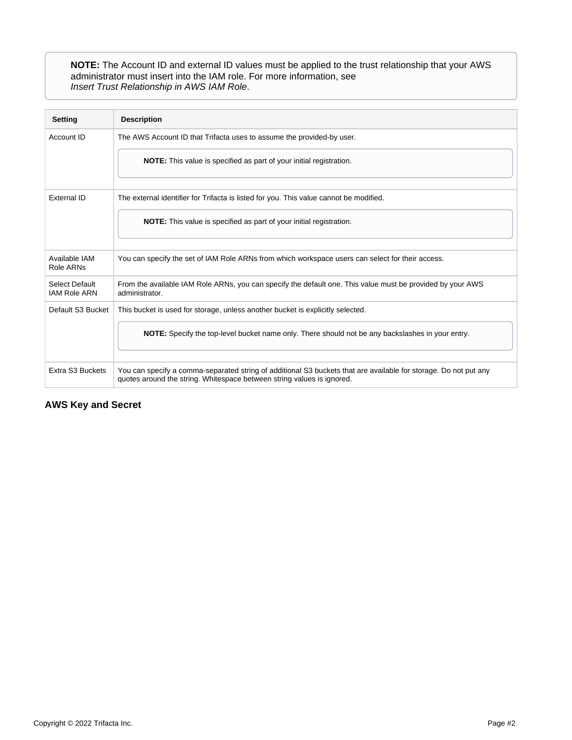**NOTE:** The Account ID and external ID values must be applied to the trust relationship that your AWS administrator must insert into the IAM role. For more information, see [Insert Trust Relationship in AWS IAM Role](https://docs.trifacta.com/display/AWS/Insert+Trust+Relationship+in+AWS+IAM+Role).

| <b>Setting</b>                        | <b>Description</b>                                                                                                                                                                         |
|---------------------------------------|--------------------------------------------------------------------------------------------------------------------------------------------------------------------------------------------|
| Account ID                            | The AWS Account ID that Trifacta uses to assume the provided-by user.                                                                                                                      |
|                                       | <b>NOTE:</b> This value is specified as part of your initial registration.                                                                                                                 |
| External ID                           | The external identifier for Trifacta is listed for you. This value cannot be modified.                                                                                                     |
|                                       | <b>NOTE:</b> This value is specified as part of your initial registration.                                                                                                                 |
| Available IAM<br>Role ARNs            | You can specify the set of IAM Role ARNs from which workspace users can select for their access.                                                                                           |
| Select Default<br><b>IAM Role ARN</b> | From the available IAM Role ARNs, you can specify the default one. This value must be provided by your AWS<br>administrator.                                                               |
| Default S3 Bucket                     | This bucket is used for storage, unless another bucket is explicitly selected.                                                                                                             |
|                                       | <b>NOTE:</b> Specify the top-level bucket name only. There should not be any backslashes in your entry.                                                                                    |
| Extra S3 Buckets                      | You can specify a comma-separated string of additional S3 buckets that are available for storage. Do not put any<br>quotes around the string. Whitespace between string values is ignored. |

## <span id="page-1-0"></span>**AWS Key and Secret**